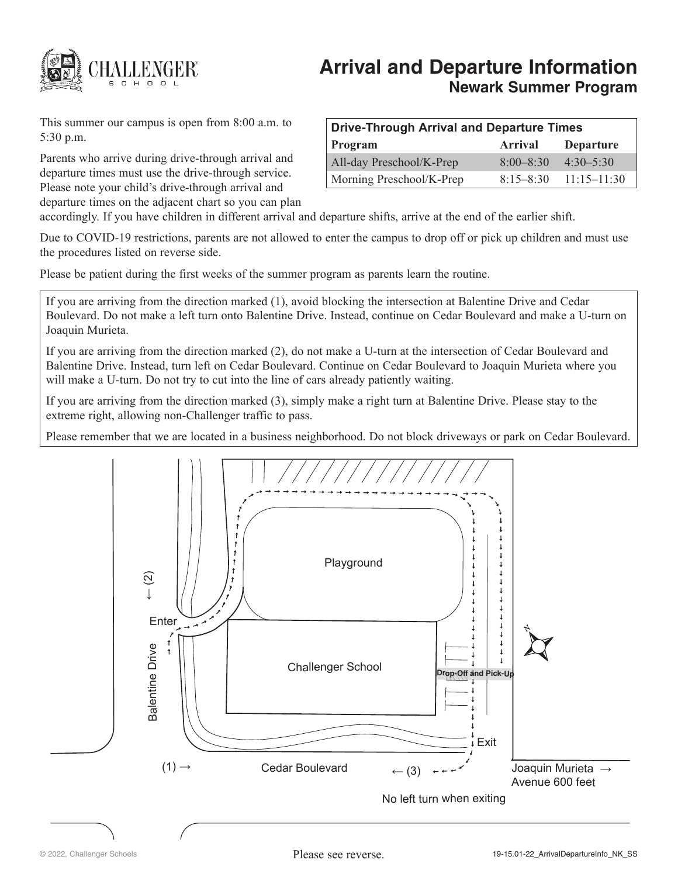

# **Arrival and Departure Information Newark Summer Program**

This summer our campus is open from 8:00 a.m. to 5:30 p.m.

Parents who arrive during drive-through arrival and departure times must use the drive-through service. Please note your child's drive-through arrival and departure times on the adjacent chart so you can plan

| Drive-Through Arrival and Departure Times |               |                           |
|-------------------------------------------|---------------|---------------------------|
| Program                                   | Arrival       | <b>Departure</b>          |
| All-day Preschool/K-Prep                  | $8:00 - 8:30$ | $4:30 - 5:30$             |
| Morning Preschool/K-Prep                  |               | $8:15-8:30$ $11:15-11:30$ |

accordingly. If you have children in different arrival and departure shifts, arrive at the end of the earlier shift.

Due to COVID-19 restrictions, parents are not allowed to enter the campus to drop off or pick up children and must use the procedures listed on reverse side.

Please be patient during the first weeks of the summer program as parents learn the routine.

If you are arriving from the direction marked (1), avoid blocking the intersection at Balentine Drive and Cedar Boulevard. Do not make a left turn onto Balentine Drive. Instead, continue on Cedar Boulevard and make a U-turn on Joaquin Murieta.

If you are arriving from the direction marked (2), do not make a U-turn at the intersection of Cedar Boulevard and Balentine Drive. Instead, turn left on Cedar Boulevard. Continue on Cedar Boulevard to Joaquin Murieta where you will make a U-turn. Do not try to cut into the line of cars already patiently waiting.

If you are arriving from the direction marked (3), simply make a right turn at Balentine Drive. Please stay to the extreme right, allowing non-Challenger traffic to pass.

Please remember that we are located in a business neighborhood. Do not block driveways or park on Cedar Boulevard.